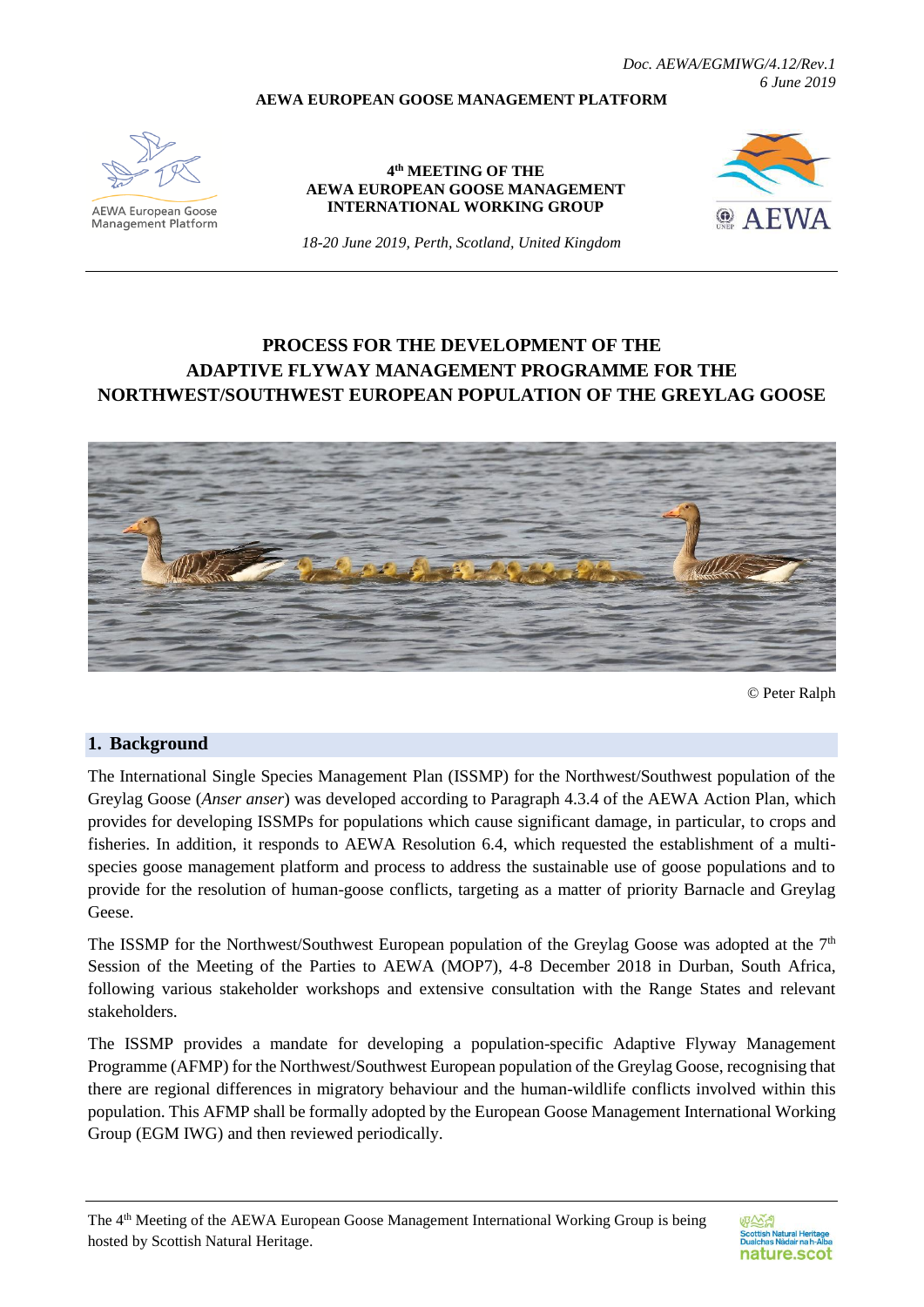*Doc. AEWA/EGMIWG/4.12/Rev.1 6 June 2019*

#### **AEWA EUROPEAN GOOSE MANAGEMENT PLATFORM**



**AEWA European Goose** Management Platform

#### **4 th MEETING OF THE AEWA EUROPEAN GOOSE MANAGEMENT INTERNATIONAL WORKING GROUP**



*18-20 June 2019, Perth, Scotland, United Kingdom*

# **PROCESS FOR THE DEVELOPMENT OF THE ADAPTIVE FLYWAY MANAGEMENT PROGRAMME FOR THE NORTHWEST/SOUTHWEST EUROPEAN POPULATION OF THE GREYLAG GOOSE**



© Peter Ralph

#### **1. Background**

The International Single Species Management Plan (ISSMP) for the Northwest/Southwest population of the Greylag Goose (*Anser anser*) was developed according to Paragraph 4.3.4 of the AEWA Action Plan, which provides for developing ISSMPs for populations which cause significant damage, in particular, to crops and fisheries. In addition, it responds to AEWA Resolution 6.4, which requested the establishment of a multispecies goose management platform and process to address the sustainable use of goose populations and to provide for the resolution of human-goose conflicts, targeting as a matter of priority Barnacle and Greylag Geese.

The ISSMP for the Northwest/Southwest European population of the Greylag Goose was adopted at the  $7<sup>th</sup>$ Session of the Meeting of the Parties to AEWA (MOP7), 4-8 December 2018 in Durban, South Africa, following various stakeholder workshops and extensive consultation with the Range States and relevant stakeholders.

The ISSMP provides a mandate for developing a population-specific Adaptive Flyway Management Programme (AFMP) for the Northwest/Southwest European population of the Greylag Goose, recognising that there are regional differences in migratory behaviour and the human-wildlife conflicts involved within this population. This AFMP shall be formally adopted by the European Goose Management International Working Group (EGM IWG) and then reviewed periodically.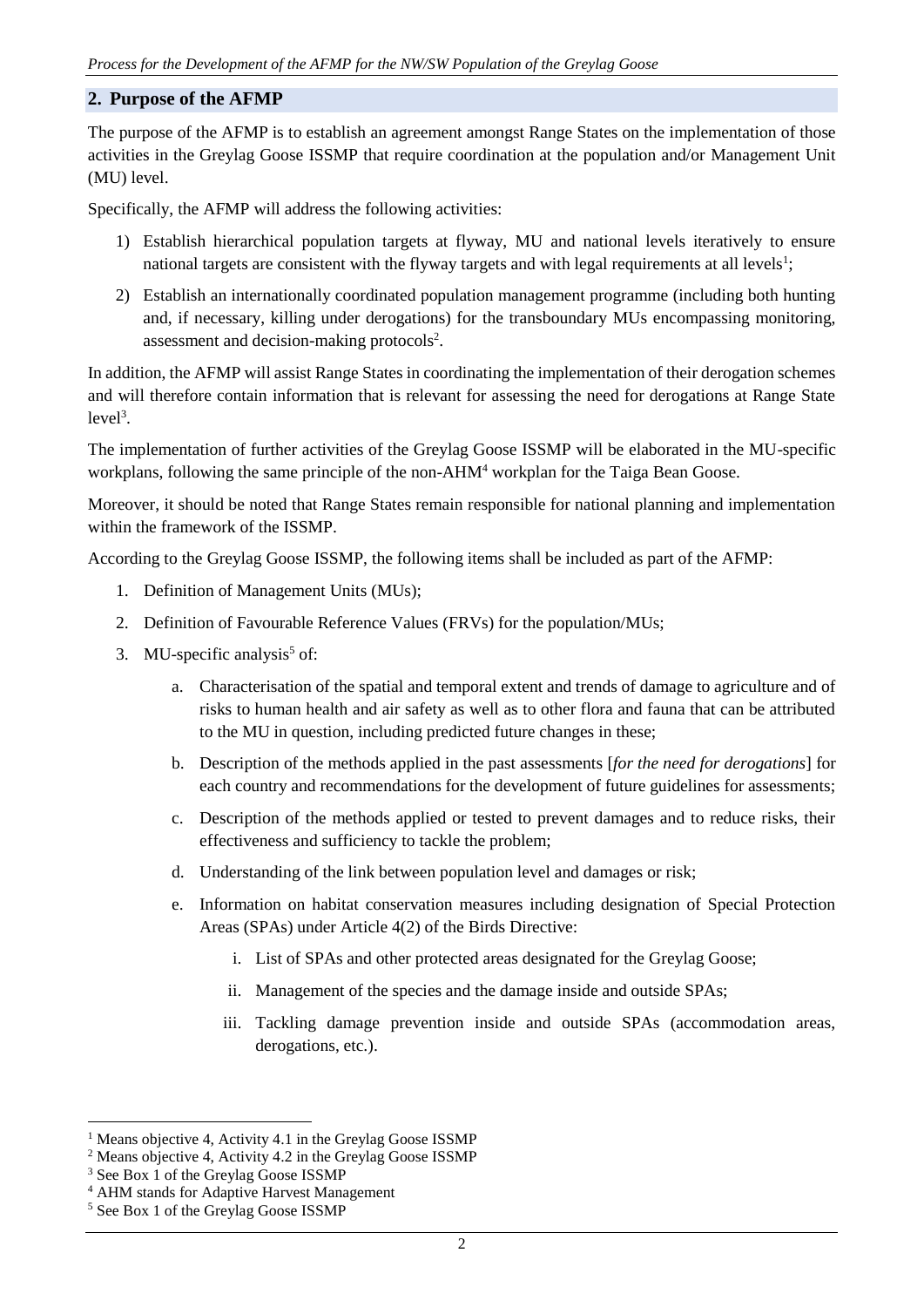### **2. Purpose of the AFMP**

The purpose of the AFMP is to establish an agreement amongst Range States on the implementation of those activities in the Greylag Goose ISSMP that require coordination at the population and/or Management Unit (MU) level.

Specifically, the AFMP will address the following activities:

- 1) Establish hierarchical population targets at flyway, MU and national levels iteratively to ensure national targets are consistent with the flyway targets and with legal requirements at all levels<sup>1</sup>;
- 2) Establish an internationally coordinated population management programme (including both hunting and, if necessary, killing under derogations) for the transboundary MUs encompassing monitoring, assessment and decision-making protocols<sup>2</sup>.

In addition, the AFMP will assist Range States in coordinating the implementation of their derogation schemes and will therefore contain information that is relevant for assessing the need for derogations at Range State  $level<sup>3</sup>$ .

The implementation of further activities of the Greylag Goose ISSMP will be elaborated in the MU-specific workplans, following the same principle of the non-AHM<sup>4</sup> workplan for the Taiga Bean Goose.

Moreover, it should be noted that Range States remain responsible for national planning and implementation within the framework of the ISSMP.

According to the Greylag Goose ISSMP, the following items shall be included as part of the AFMP:

- 1. Definition of Management Units (MUs);
- 2. Definition of Favourable Reference Values (FRVs) for the population/MUs;
- 3. MU-specific analysis<sup>5</sup> of:
	- a. Characterisation of the spatial and temporal extent and trends of damage to agriculture and of risks to human health and air safety as well as to other flora and fauna that can be attributed to the MU in question, including predicted future changes in these;
	- b. Description of the methods applied in the past assessments [*for the need for derogations*] for each country and recommendations for the development of future guidelines for assessments;
	- c. Description of the methods applied or tested to prevent damages and to reduce risks, their effectiveness and sufficiency to tackle the problem;
	- d. Understanding of the link between population level and damages or risk;
	- e. Information on habitat conservation measures including designation of Special Protection Areas (SPAs) under Article 4(2) of the Birds Directive:
		- i. List of SPAs and other protected areas designated for the Greylag Goose;
		- ii. Management of the species and the damage inside and outside SPAs;
		- iii. Tackling damage prevention inside and outside SPAs (accommodation areas, derogations, etc.).

1

<sup>&</sup>lt;sup>1</sup> Means objective 4, Activity 4.1 in the Greylag Goose ISSMP

<sup>2</sup> Means objective 4, Activity 4.2 in the Greylag Goose ISSMP

<sup>&</sup>lt;sup>3</sup> See Box 1 of the Greylag Goose ISSMP

<sup>4</sup> AHM stands for Adaptive Harvest Management

<sup>5</sup> See Box 1 of the Greylag Goose ISSMP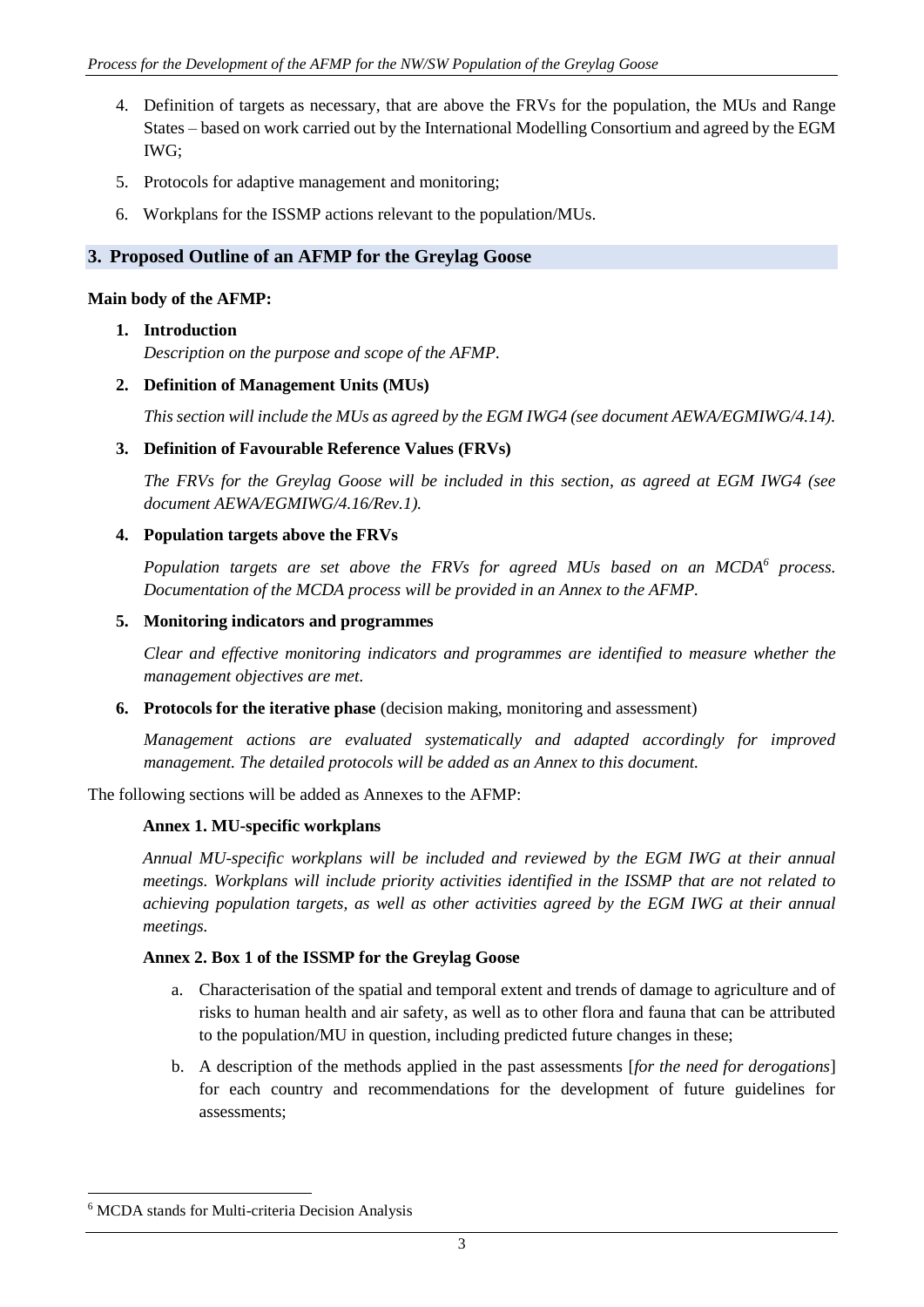- 4. Definition of targets as necessary, that are above the FRVs for the population, the MUs and Range States – based on work carried out by the International Modelling Consortium and agreed by the EGM IWG;
- 5. Protocols for adaptive management and monitoring;
- 6. Workplans for the ISSMP actions relevant to the population/MUs.

### **3. Proposed Outline of an AFMP for the Greylag Goose**

#### **Main body of the AFMP:**

#### **1. Introduction**

*Description on the purpose and scope of the AFMP.*

#### **2. Definition of Management Units (MUs)**

*This section will include the MUs as agreed by the EGM IWG4 (see document AEWA/EGMIWG/4.14).*

#### **3. Definition of Favourable Reference Values (FRVs)**

*The FRVs for the Greylag Goose will be included in this section, as agreed at EGM IWG4 (see document AEWA/EGMIWG/4.16/Rev.1).*

#### **4. Population targets above the FRVs**

*Population targets are set above the FRVs for agreed MUs based on an MCDA<sup>6</sup> process. Documentation of the MCDA process will be provided in an Annex to the AFMP.*

#### **5. Monitoring indicators and programmes**

*Clear and effective monitoring indicators and programmes are identified to measure whether the management objectives are met.*

**6. Protocols for the iterative phase** (decision making, monitoring and assessment)

*Management actions are evaluated systematically and adapted accordingly for improved management. The detailed protocols will be added as an Annex to this document.* 

The following sections will be added as Annexes to the AFMP:

#### **Annex 1. MU-specific workplans**

*Annual MU-specific workplans will be included and reviewed by the EGM IWG at their annual meetings. Workplans will include priority activities identified in the ISSMP that are not related to achieving population targets, as well as other activities agreed by the EGM IWG at their annual meetings.*

#### **Annex 2. Box 1 of the ISSMP for the Greylag Goose**

- a. Characterisation of the spatial and temporal extent and trends of damage to agriculture and of risks to human health and air safety, as well as to other flora and fauna that can be attributed to the population/MU in question, including predicted future changes in these;
- b. A description of the methods applied in the past assessments [*for the need for derogations*] for each country and recommendations for the development of future guidelines for assessments;

1

<sup>6</sup> MCDA stands for Multi-criteria Decision Analysis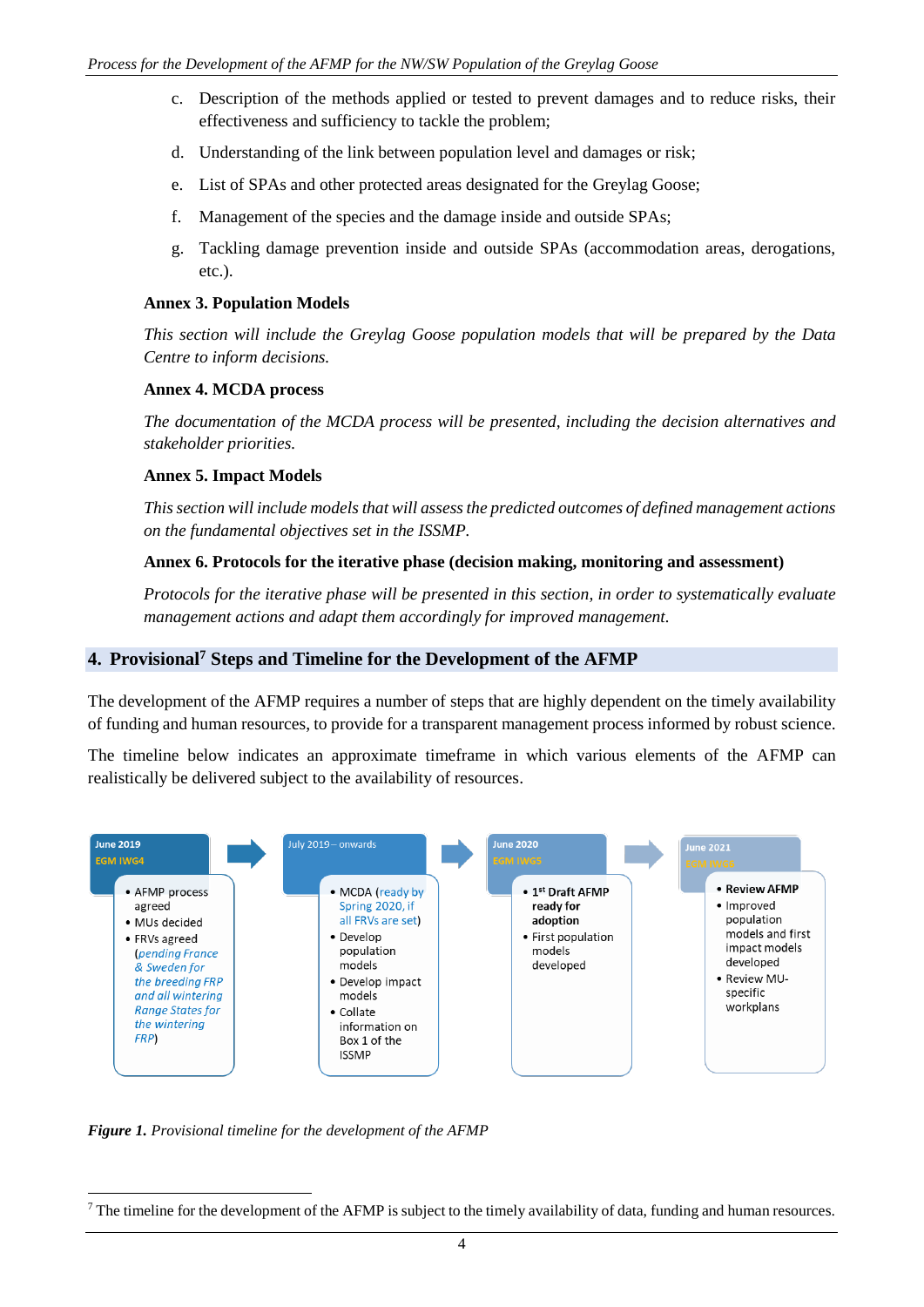- c. Description of the methods applied or tested to prevent damages and to reduce risks, their effectiveness and sufficiency to tackle the problem;
- d. Understanding of the link between population level and damages or risk;
- e. List of SPAs and other protected areas designated for the Greylag Goose;
- f. Management of the species and the damage inside and outside SPAs;
- g. Tackling damage prevention inside and outside SPAs (accommodation areas, derogations, etc.).

#### **Annex 3. Population Models**

*This section will include the Greylag Goose population models that will be prepared by the Data Centre to inform decisions.*

#### **Annex 4. MCDA process**

*The documentation of the MCDA process will be presented, including the decision alternatives and stakeholder priorities.*

#### **Annex 5. Impact Models**

*This section will include models that will assess the predicted outcomes of defined management actions on the fundamental objectives set in the ISSMP.*

#### **Annex 6. Protocols for the iterative phase (decision making, monitoring and assessment)**

*Protocols for the iterative phase will be presented in this section, in order to systematically evaluate management actions and adapt them accordingly for improved management.*

### **4. Provisional<sup>7</sup> Steps and Timeline for the Development of the AFMP**

The development of the AFMP requires a number of steps that are highly dependent on the timely availability of funding and human resources, to provide for a transparent management process informed by robust science.

The timeline below indicates an approximate timeframe in which various elements of the AFMP can realistically be delivered subject to the availability of resources.



*Figure 1. Provisional timeline for the development of the AFMP*

1

 $<sup>7</sup>$  The timeline for the development of the AFMP is subject to the timely availability of data, funding and human resources.</sup>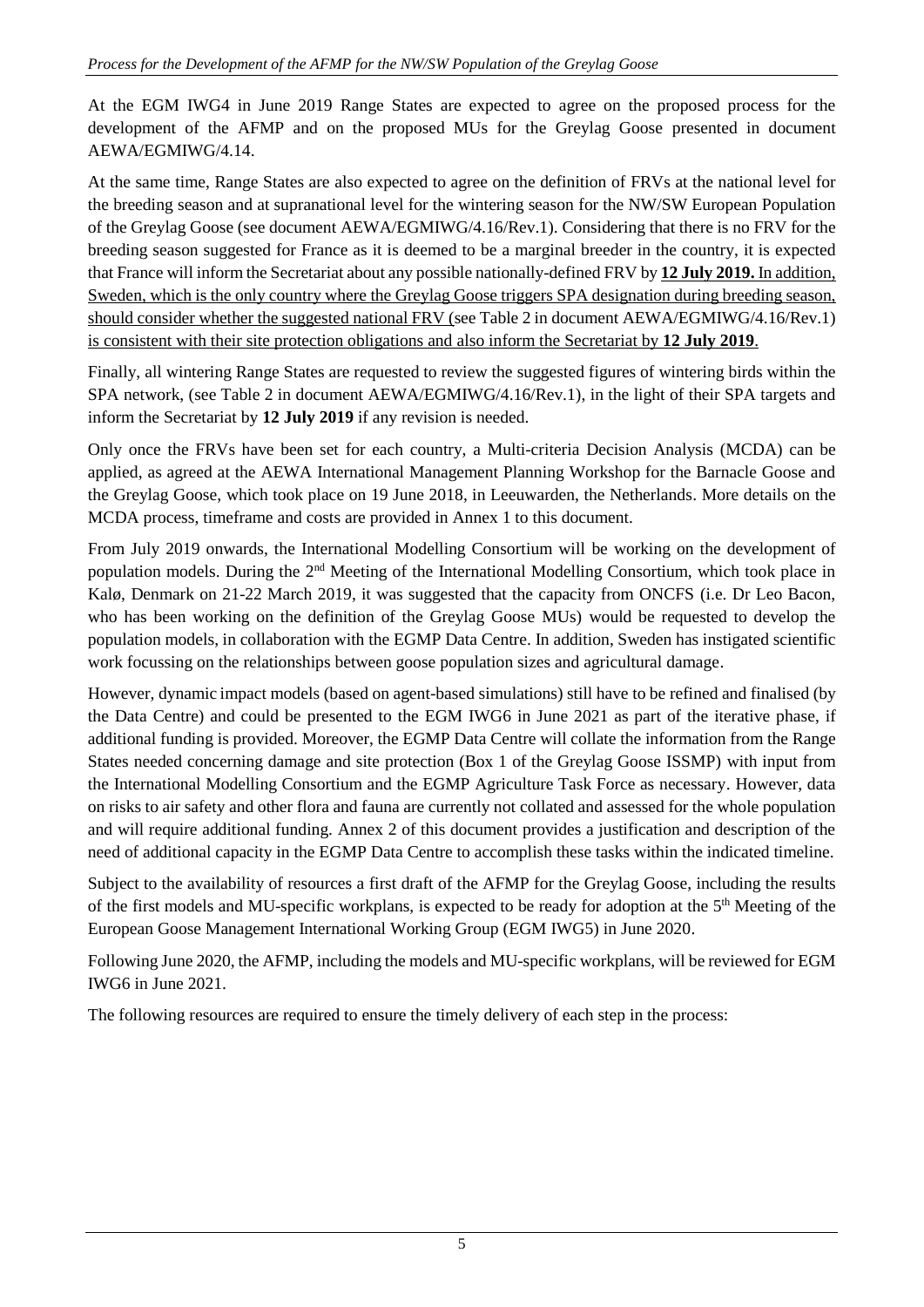At the EGM IWG4 in June 2019 Range States are expected to agree on the proposed process for the development of the AFMP and on the proposed MUs for the Greylag Goose presented in document AEWA/EGMIWG/4.14.

At the same time, Range States are also expected to agree on the definition of FRVs at the national level for the breeding season and at supranational level for the wintering season for the NW/SW European Population of the Greylag Goose (see document AEWA/EGMIWG/4.16/Rev.1). Considering that there is no FRV for the breeding season suggested for France as it is deemed to be a marginal breeder in the country, it is expected that France will inform the Secretariat about any possible nationally-defined FRV by **12 July 2019.** In addition, Sweden, which is the only country where the Greylag Goose triggers SPA designation during breeding season, should consider whether the suggested national FRV (see Table 2 in document AEWA/EGMIWG/4.16/Rev.1) is consistent with their site protection obligations and also inform the Secretariat by **12 July 2019**.

Finally, all wintering Range States are requested to review the suggested figures of wintering birds within the SPA network, (see Table 2 in document AEWA/EGMIWG/4.16/Rev.1), in the light of their SPA targets and inform the Secretariat by **12 July 2019** if any revision is needed.

Only once the FRVs have been set for each country, a Multi-criteria Decision Analysis (MCDA) can be applied, as agreed at the AEWA International Management Planning Workshop for the Barnacle Goose and the Greylag Goose, which took place on 19 June 2018, in Leeuwarden, the Netherlands. More details on the MCDA process, timeframe and costs are provided in Annex 1 to this document.

From July 2019 onwards, the International Modelling Consortium will be working on the development of population models. During the 2nd Meeting of the International Modelling Consortium, which took place in Kalø, Denmark on 21-22 March 2019, it was suggested that the capacity from ONCFS (i.e. Dr Leo Bacon, who has been working on the definition of the Greylag Goose MUs) would be requested to develop the population models, in collaboration with the EGMP Data Centre. In addition, Sweden has instigated scientific work focussing on the relationships between goose population sizes and agricultural damage.

However, dynamic impact models (based on agent-based simulations) still have to be refined and finalised (by the Data Centre) and could be presented to the EGM IWG6 in June 2021 as part of the iterative phase, if additional funding is provided. Moreover, the EGMP Data Centre will collate the information from the Range States needed concerning damage and site protection (Box 1 of the Greylag Goose ISSMP) with input from the International Modelling Consortium and the EGMP Agriculture Task Force as necessary. However, data on risks to air safety and other flora and fauna are currently not collated and assessed for the whole population and will require additional funding. Annex 2 of this document provides a justification and description of the need of additional capacity in the EGMP Data Centre to accomplish these tasks within the indicated timeline.

Subject to the availability of resources a first draft of the AFMP for the Greylag Goose, including the results of the first models and MU-specific workplans, is expected to be ready for adoption at the 5<sup>th</sup> Meeting of the European Goose Management International Working Group (EGM IWG5) in June 2020.

Following June 2020, the AFMP, including the models and MU-specific workplans, will be reviewed for EGM IWG6 in June 2021.

The following resources are required to ensure the timely delivery of each step in the process: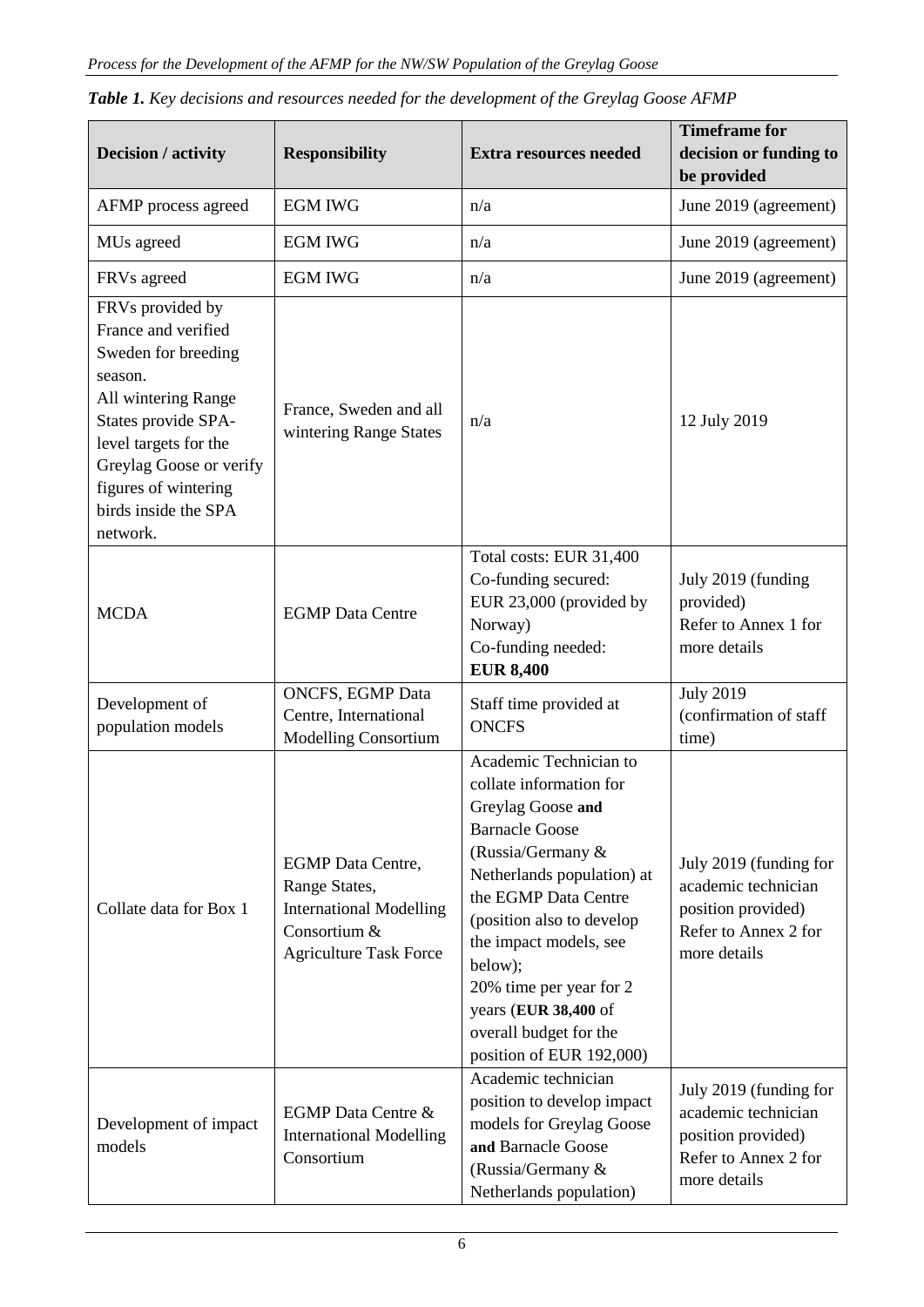| Decision / activity                                                                                                                                                                                                                     | <b>Responsibility</b>                                                                                                        | <b>Extra resources needed</b>                                                                                                                                                                                                                                                                                                                         | <b>Timeframe for</b><br>decision or funding to<br>be provided                                               |  |
|-----------------------------------------------------------------------------------------------------------------------------------------------------------------------------------------------------------------------------------------|------------------------------------------------------------------------------------------------------------------------------|-------------------------------------------------------------------------------------------------------------------------------------------------------------------------------------------------------------------------------------------------------------------------------------------------------------------------------------------------------|-------------------------------------------------------------------------------------------------------------|--|
| AFMP process agreed                                                                                                                                                                                                                     | <b>EGM IWG</b>                                                                                                               | n/a                                                                                                                                                                                                                                                                                                                                                   | June 2019 (agreement)                                                                                       |  |
| MUs agreed                                                                                                                                                                                                                              | <b>EGM IWG</b>                                                                                                               | n/a                                                                                                                                                                                                                                                                                                                                                   | June 2019 (agreement)                                                                                       |  |
| FRVs agreed                                                                                                                                                                                                                             | <b>EGM IWG</b>                                                                                                               | n/a                                                                                                                                                                                                                                                                                                                                                   | June 2019 (agreement)                                                                                       |  |
| FRVs provided by<br>France and verified<br>Sweden for breeding<br>season.<br>All wintering Range<br>States provide SPA-<br>level targets for the<br>Greylag Goose or verify<br>figures of wintering<br>birds inside the SPA<br>network. | France, Sweden and all<br>wintering Range States                                                                             | n/a                                                                                                                                                                                                                                                                                                                                                   | 12 July 2019                                                                                                |  |
| <b>MCDA</b>                                                                                                                                                                                                                             | <b>EGMP</b> Data Centre                                                                                                      | Total costs: EUR 31,400<br>Co-funding secured:<br>EUR 23,000 (provided by<br>Norway)<br>Co-funding needed:<br><b>EUR 8,400</b>                                                                                                                                                                                                                        | July 2019 (funding<br>provided)<br>Refer to Annex 1 for<br>more details                                     |  |
| Development of<br>population models                                                                                                                                                                                                     | <b>ONCFS, EGMP Data</b><br>Centre, International<br><b>Modelling Consortium</b>                                              | Staff time provided at<br><b>ONCFS</b>                                                                                                                                                                                                                                                                                                                | <b>July 2019</b><br>(confirmation of staff<br>time)                                                         |  |
| Collate data for Box 1                                                                                                                                                                                                                  | <b>EGMP</b> Data Centre,<br>Range States,<br><b>International Modelling</b><br>Consortium &<br><b>Agriculture Task Force</b> | Academic Technician to<br>collate information for<br>Greylag Goose and<br><b>Barnacle Goose</b><br>(Russia/Germany &<br>Netherlands population) at<br>the EGMP Data Centre<br>(position also to develop<br>the impact models, see<br>below);<br>20% time per year for 2<br>years (EUR 38,400 of<br>overall budget for the<br>position of EUR 192,000) | July 2019 (funding for<br>academic technician<br>position provided)<br>Refer to Annex 2 for<br>more details |  |
| Development of impact<br>models                                                                                                                                                                                                         | <b>EGMP</b> Data Centre &<br><b>International Modelling</b><br>Consortium                                                    | Academic technician<br>position to develop impact<br>models for Greylag Goose<br>and Barnacle Goose<br>(Russia/Germany &<br>Netherlands population)                                                                                                                                                                                                   | July 2019 (funding for<br>academic technician<br>position provided)<br>Refer to Annex 2 for<br>more details |  |

|  |  |  | Table 1. Key decisions and resources needed for the development of the Greylag Goose AFMP |  |
|--|--|--|-------------------------------------------------------------------------------------------|--|
|  |  |  |                                                                                           |  |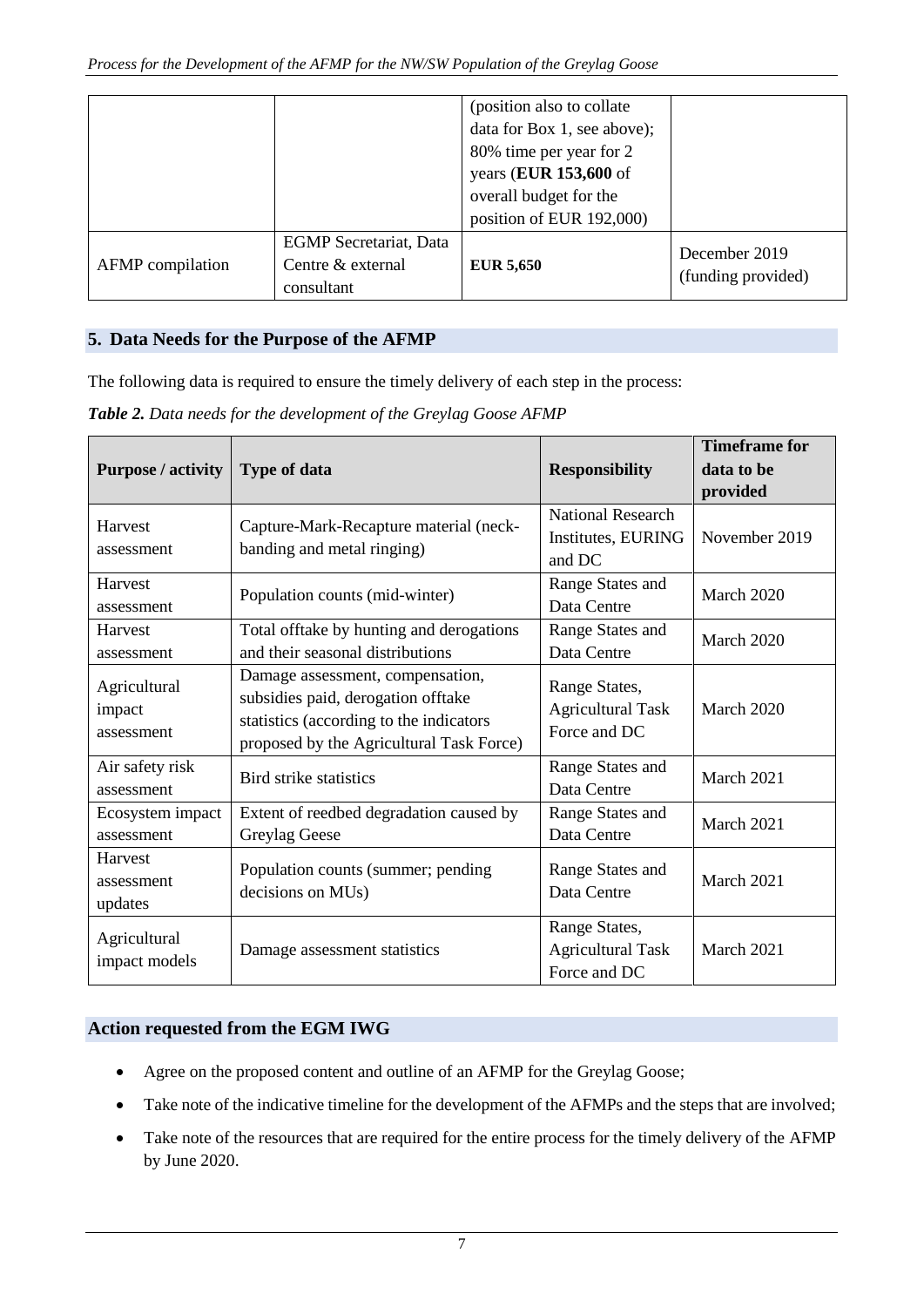|                  |                                                                  | (position also to collate)<br>data for Box 1, see above);<br>80% time per year for 2<br>years (EUR 153,600 of<br>overall budget for the<br>position of EUR 192,000) |                                     |
|------------------|------------------------------------------------------------------|---------------------------------------------------------------------------------------------------------------------------------------------------------------------|-------------------------------------|
| AFMP compilation | <b>EGMP</b> Secretariat, Data<br>Centre & external<br>consultant | <b>EUR 5,650</b>                                                                                                                                                    | December 2019<br>(funding provided) |

## **5. Data Needs for the Purpose of the AFMP**

The following data is required to ensure the timely delivery of each step in the process:

*Table 2. Data needs for the development of the Greylag Goose AFMP*

|                                      |                                                                                                                                                               |                                                           | <b>Timeframe for</b> |  |
|--------------------------------------|---------------------------------------------------------------------------------------------------------------------------------------------------------------|-----------------------------------------------------------|----------------------|--|
| <b>Purpose / activity</b>            | <b>Type of data</b>                                                                                                                                           | <b>Responsibility</b>                                     | data to be           |  |
|                                      |                                                                                                                                                               |                                                           | provided             |  |
| Harvest<br>assessment                | Capture-Mark-Recapture material (neck-<br>banding and metal ringing)                                                                                          | <b>National Research</b><br>Institutes, EURING<br>and DC  | November 2019        |  |
| Harvest<br>assessment                | Population counts (mid-winter)                                                                                                                                | Range States and<br>Data Centre                           | March 2020           |  |
| Harvest<br>assessment                | Total offtake by hunting and derogations<br>and their seasonal distributions                                                                                  | Range States and<br>Data Centre                           | March 2020           |  |
| Agricultural<br>impact<br>assessment | Damage assessment, compensation,<br>subsidies paid, derogation offtake<br>statistics (according to the indicators<br>proposed by the Agricultural Task Force) | Range States,<br><b>Agricultural Task</b><br>Force and DC | March 2020           |  |
| Air safety risk<br>assessment        | Bird strike statistics                                                                                                                                        | Range States and<br>Data Centre                           | March 2021           |  |
| Ecosystem impact<br>assessment       | Extent of reedbed degradation caused by<br>Greylag Geese                                                                                                      | Range States and<br>Data Centre                           | March 2021           |  |
| Harvest<br>assessment<br>updates     | Population counts (summer; pending<br>decisions on MUs)                                                                                                       | Range States and<br>Data Centre                           | March 2021           |  |
| Agricultural<br>impact models        | Damage assessment statistics                                                                                                                                  | Range States,<br><b>Agricultural Task</b><br>Force and DC | March 2021           |  |

## **Action requested from the EGM IWG**

- Agree on the proposed content and outline of an AFMP for the Greylag Goose;
- Take note of the indicative timeline for the development of the AFMPs and the steps that are involved;
- Take note of the resources that are required for the entire process for the timely delivery of the AFMP by June 2020.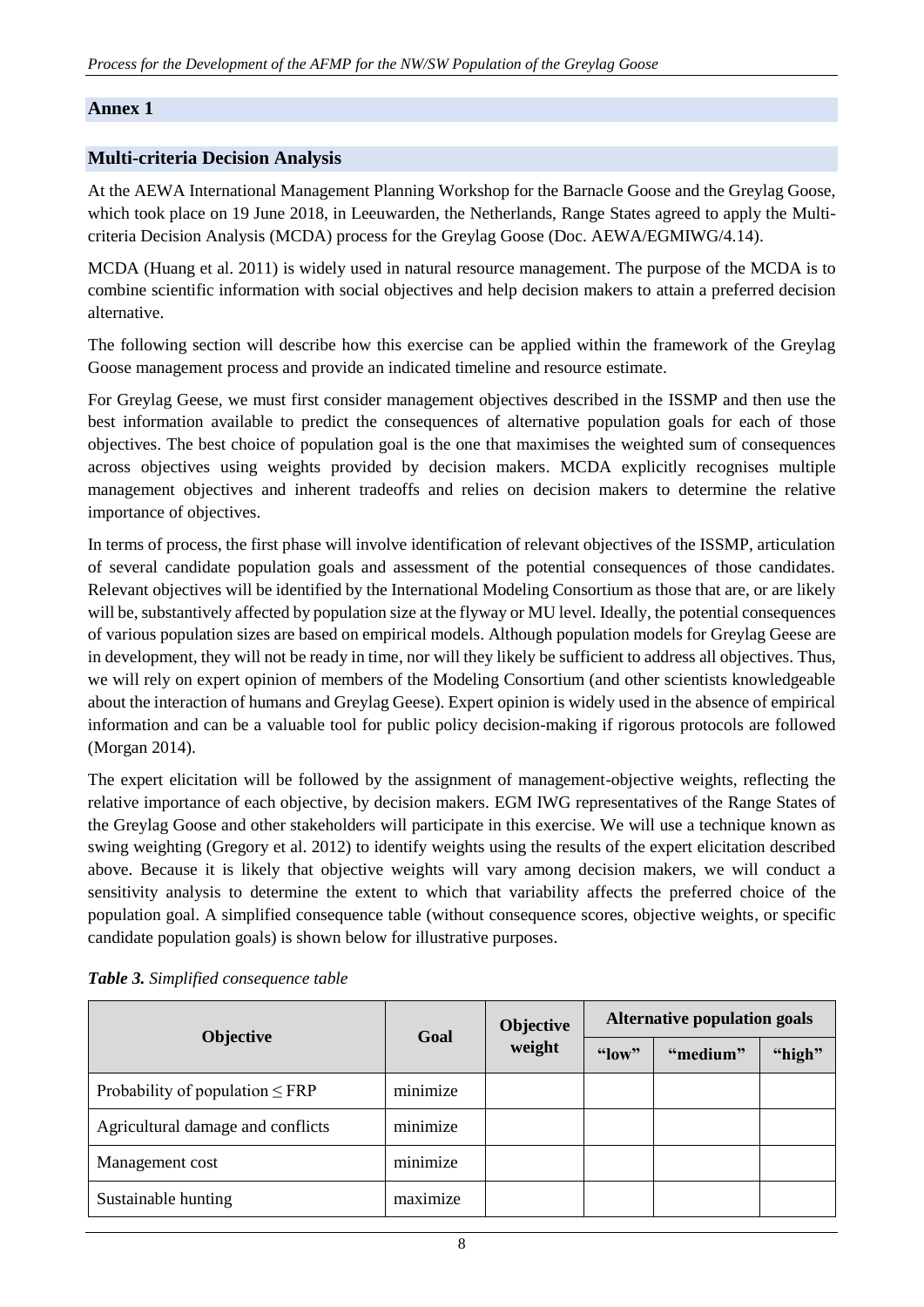### **Annex 1**

### **Multi-criteria Decision Analysis**

At the AEWA International Management Planning Workshop for the Barnacle Goose and the Greylag Goose, which took place on 19 June 2018, in Leeuwarden, the Netherlands, Range States agreed to apply the Multicriteria Decision Analysis (MCDA) process for the Greylag Goose (Doc. AEWA/EGMIWG/4.14).

MCDA (Huang et al. 2011) is widely used in natural resource management. The purpose of the MCDA is to combine scientific information with social objectives and help decision makers to attain a preferred decision alternative.

The following section will describe how this exercise can be applied within the framework of the Greylag Goose management process and provide an indicated timeline and resource estimate.

For Greylag Geese, we must first consider management objectives described in the ISSMP and then use the best information available to predict the consequences of alternative population goals for each of those objectives. The best choice of population goal is the one that maximises the weighted sum of consequences across objectives using weights provided by decision makers. MCDA explicitly recognises multiple management objectives and inherent tradeoffs and relies on decision makers to determine the relative importance of objectives.

In terms of process, the first phase will involve identification of relevant objectives of the ISSMP, articulation of several candidate population goals and assessment of the potential consequences of those candidates. Relevant objectives will be identified by the International Modeling Consortium as those that are, or are likely will be, substantively affected by population size at the flyway or MU level. Ideally, the potential consequences of various population sizes are based on empirical models. Although population models for Greylag Geese are in development, they will not be ready in time, nor will they likely be sufficient to address all objectives. Thus, we will rely on expert opinion of members of the Modeling Consortium (and other scientists knowledgeable about the interaction of humans and Greylag Geese). Expert opinion is widely used in the absence of empirical information and can be a valuable tool for public policy decision-making if rigorous protocols are followed (Morgan 2014).

The expert elicitation will be followed by the assignment of management-objective weights, reflecting the relative importance of each objective, by decision makers. EGM IWG representatives of the Range States of the Greylag Goose and other stakeholders will participate in this exercise. We will use a technique known as swing weighting (Gregory et al. 2012) to identify weights using the results of the expert elicitation described above. Because it is likely that objective weights will vary among decision makers, we will conduct a sensitivity analysis to determine the extent to which that variability affects the preferred choice of the population goal. A simplified consequence table (without consequence scores, objective weights, or specific candidate population goals) is shown below for illustrative purposes.

| <b>Objective</b>                     | Goal     | Objective<br>weight | <b>Alternative population goals</b> |          |        |
|--------------------------------------|----------|---------------------|-------------------------------------|----------|--------|
|                                      |          |                     | $^{6}$ low"                         | "medium" | "high" |
| Probability of population $\leq$ FRP | minimize |                     |                                     |          |        |
| Agricultural damage and conflicts    | minimize |                     |                                     |          |        |
| Management cost                      | minimize |                     |                                     |          |        |
| Sustainable hunting                  | maximize |                     |                                     |          |        |

*Table 3. Simplified consequence table*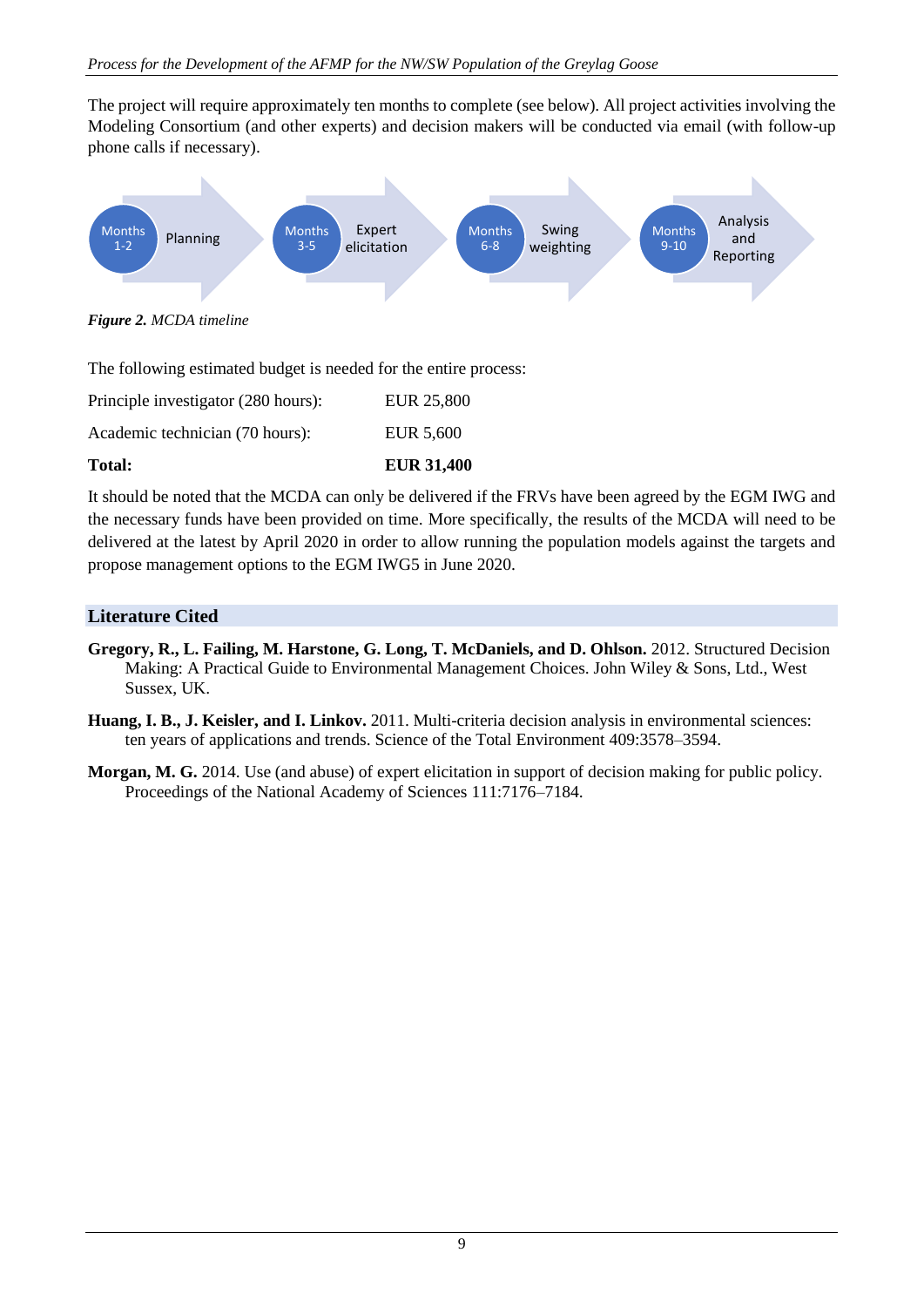The project will require approximately ten months to complete (see below). All project activities involving the Modeling Consortium (and other experts) and decision makers will be conducted via email (with follow-up phone calls if necessary).



*Figure 2. MCDA timeline*

The following estimated budget is needed for the entire process:

| <b>Total:</b>                       | <b>EUR 31,400</b> |
|-------------------------------------|-------------------|
| Academic technician (70 hours):     | EUR 5.600         |
| Principle investigator (280 hours): | EUR 25,800        |

It should be noted that the MCDA can only be delivered if the FRVs have been agreed by the EGM IWG and the necessary funds have been provided on time. More specifically, the results of the MCDA will need to be delivered at the latest by April 2020 in order to allow running the population models against the targets and propose management options to the EGM IWG5 in June 2020.

## **Literature Cited**

- **Gregory, R., L. Failing, M. Harstone, G. Long, T. McDaniels, and D. Ohlson.** 2012. Structured Decision Making: A Practical Guide to Environmental Management Choices. John Wiley & Sons, Ltd., West Sussex, UK.
- **Huang, I. B., J. Keisler, and I. Linkov.** 2011. Multi-criteria decision analysis in environmental sciences: ten years of applications and trends. Science of the Total Environment 409:3578–3594.
- **Morgan, M. G.** 2014. Use (and abuse) of expert elicitation in support of decision making for public policy. Proceedings of the National Academy of Sciences 111:7176–7184.